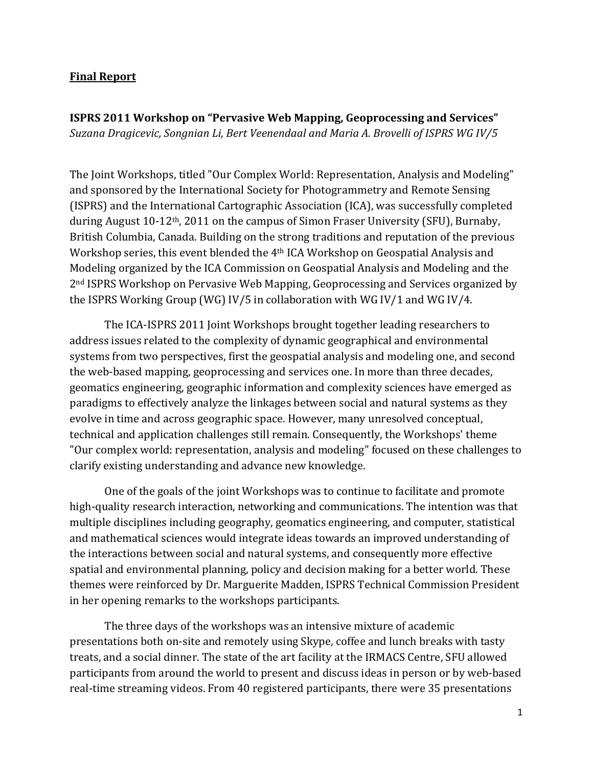## **Final Report**

**ISPRS 2011 Workshop on "Pervasive Web Mapping, Geoprocessing and Services"** *Suzana Dragicevic, Songnian Li, Bert Veenendaal and Maria A. Brovelli of ISPRS WG IV/5*

The Joint Workshops, titled "Our Complex World: Representation, Analysis and Modeling" and sponsored by the International Society for Photogrammetry and Remote Sensing (ISPRS) and the International Cartographic Association (ICA), was successfully completed during August  $10-12$ <sup>th</sup>, 2011 on the campus of Simon Fraser University (SFU), Burnaby, British Columbia, Canada. Building on the strong traditions and reputation of the previous Workshop series, this event blended the 4<sup>th</sup> ICA Workshop on Geospatial Analysis and Modeling organized by the ICA Commission on Geospatial Analysis and Modeling and the 2<sup>nd</sup> ISPRS Workshop on Pervasive Web Mapping, Geoprocessing and Services organized by the ISPRS Working Group (WG) IV/5 in collaboration with WG IV/1 and WG IV/4.

The ICA-ISPRS 2011 Joint Workshops brought together leading researchers to address issues related to the complexity of dynamic geographical and environmental systems from two perspectives, first the geospatial analysis and modeling one, and second the web-based mapping, geoprocessing and services one. In more than three decades, geomatics engineering, geographic information and complexity sciences have emerged as paradigms to effectively analyze the linkages between social and natural systems as they evolve in time and across geographic space. However, many unresolved conceptual, technical and application challenges still remain. Consequently, the Workshops' theme "Our complex world: representation, analysis and modeling" focused on these challenges to clarify existing understanding and advance new knowledge.

One of the goals of the joint Workshops was to continue to facilitate and promote high-quality research interaction, networking and communications. The intention was that multiple disciplines including geography, geomatics engineering, and computer, statistical and mathematical sciences would integrate ideas towards an improved understanding of the interactions between social and natural systems, and consequently more effective spatial and environmental planning, policy and decision making for a better world. These themes were reinforced by Dr. Marguerite Madden, ISPRS Technical Commission President in her opening remarks to the workshops participants.

The three days of the workshops was an intensive mixture of academic presentations both on-site and remotely using Skype, coffee and lunch breaks with tasty treats, and a social dinner. The state of the art facility at the IRMACS Centre, SFU allowed participants from around the world to present and discuss ideas in person or by web-based real-time streaming videos. From 40 registered participants, there were 35 presentations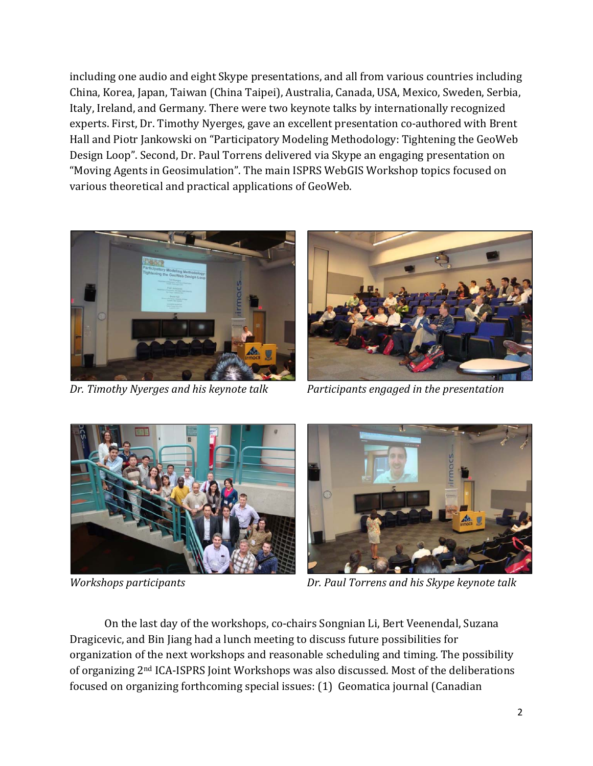including one audio and eight Skype presentations, and all from various countries including China, Korea, Japan, Taiwan (China Taipei), Australia, Canada, USA, Mexico, Sweden, Serbia, Italy, Ireland, and Germany. There were two keynote talks by internationally recognized experts. First, Dr. Timothy Nyerges, gave an excellent presentation co-authored with Brent Hall and Piotr Jankowski on "Participatory Modeling Methodology: Tightening the GeoWeb Design Loop". Second, Dr. Paul Torrens delivered via Skype an engaging presentation on "Moving Agents in Geosimulation". The main ISPRS WebGIS Workshop topics focused on various theoretical and practical applications of GeoWeb.



*Dr. Timothy Nyerges and his keynote talk Participants engaged in the presentation*







*Workshops participants Dr. Paul Torrens and his Skype keynote talk* 

On the last day of the workshops, co-chairs Songnian Li, Bert Veenendal, Suzana Dragicevic, and Bin Jiang had a lunch meeting to discuss future possibilities for organization of the next workshops and reasonable scheduling and timing. The possibility of organizing  $2<sup>nd</sup>$  ICA-ISPRS Joint Workshops was also discussed. Most of the deliberations focused on organizing forthcoming special issues: (1) Geomatica journal (Canadian